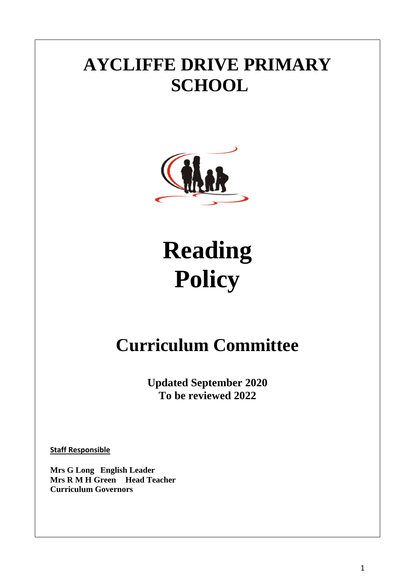# **AYCLIFFE DRIVE PRIMARY SCHOOL**



# **Reading Policy**

# **Curriculum Committee**

**Updated September 2020 To be reviewed 2022**

**Staff Responsible**

**Mrs G Long English Leader Mrs R M H Green Head Teacher Curriculum Governors**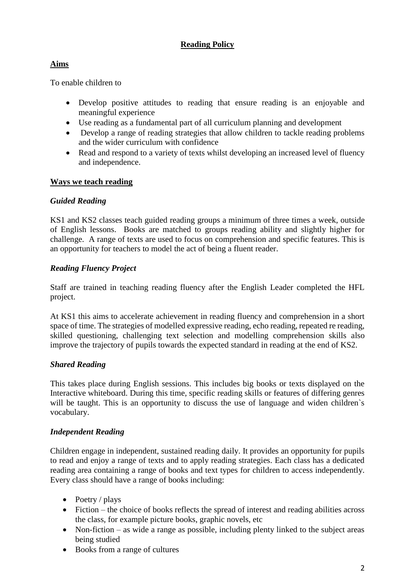# **Reading Policy**

# **Aims**

To enable children to

- Develop positive attitudes to reading that ensure reading is an enjoyable and meaningful experience
- Use reading as a fundamental part of all curriculum planning and development
- Develop a range of reading strategies that allow children to tackle reading problems and the wider curriculum with confidence
- Read and respond to a variety of texts whilst developing an increased level of fluency and independence.

#### **Ways we teach reading**

## *Guided Reading*

KS1 and KS2 classes teach guided reading groups a minimum of three times a week, outside of English lessons. Books are matched to groups reading ability and slightly higher for challenge. A range of texts are used to focus on comprehension and specific features. This is an opportunity for teachers to model the act of being a fluent reader.

## *Reading Fluency Project*

Staff are trained in teaching reading fluency after the English Leader completed the HFL project.

At KS1 this aims to accelerate achievement in reading fluency and comprehension in a short space of time. The strategies of modelled expressive reading, echo reading, repeated re reading, skilled questioning, challenging text selection and modelling comprehension skills also improve the trajectory of pupils towards the expected standard in reading at the end of KS2.

#### *Shared Reading*

This takes place during English sessions. This includes big books or texts displayed on the Interactive whiteboard. During this time, specific reading skills or features of differing genres will be taught. This is an opportunity to discuss the use of language and widen children's vocabulary.

#### *Independent Reading*

Children engage in independent, sustained reading daily. It provides an opportunity for pupils to read and enjoy a range of texts and to apply reading strategies. Each class has a dedicated reading area containing a range of books and text types for children to access independently. Every class should have a range of books including:

- $\bullet$  Poetry / plays
- Fiction the choice of books reflects the spread of interest and reading abilities across the class, for example picture books, graphic novels, etc
- Non-fiction as wide a range as possible, including plenty linked to the subject areas being studied
- Books from a range of cultures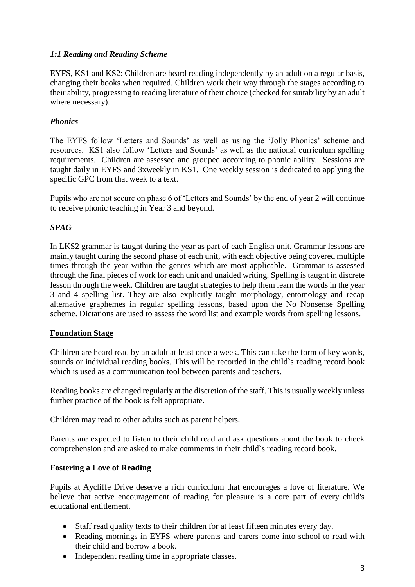## *1:1 Reading and Reading Scheme*

EYFS, KS1 and KS2: Children are heard reading independently by an adult on a regular basis, changing their books when required. Children work their way through the stages according to their ability, progressing to reading literature of their choice (checked for suitability by an adult where necessary).

# *Phonics*

The EYFS follow 'Letters and Sounds' as well as using the 'Jolly Phonics' scheme and resources. KS1 also follow 'Letters and Sounds' as well as the national curriculum spelling requirements. Children are assessed and grouped according to phonic ability. Sessions are taught daily in EYFS and 3xweekly in KS1. One weekly session is dedicated to applying the specific GPC from that week to a text.

Pupils who are not secure on phase 6 of 'Letters and Sounds' by the end of year 2 will continue to receive phonic teaching in Year 3 and beyond.

#### *SPAG*

In LKS2 grammar is taught during the year as part of each English unit. Grammar lessons are mainly taught during the second phase of each unit, with each objective being covered multiple times through the year within the genres which are most applicable. Grammar is assessed through the final pieces of work for each unit and unaided writing. Spelling is taught in discrete lesson through the week. Children are taught strategies to help them learn the words in the year 3 and 4 spelling list. They are also explicitly taught morphology, entomology and recap alternative graphemes in regular spelling lessons, based upon the No Nonsense Spelling scheme. Dictations are used to assess the word list and example words from spelling lessons.

#### **Foundation Stage**

Children are heard read by an adult at least once a week. This can take the form of key words, sounds or individual reading books. This will be recorded in the child`s reading record book which is used as a communication tool between parents and teachers.

Reading books are changed regularly at the discretion of the staff. This is usually weekly unless further practice of the book is felt appropriate.

Children may read to other adults such as parent helpers.

Parents are expected to listen to their child read and ask questions about the book to check comprehension and are asked to make comments in their child`s reading record book.

#### **Fostering a Love of Reading**

Pupils at Aycliffe Drive deserve a rich curriculum that encourages a love of literature. We believe that active encouragement of reading for pleasure is a core part of every child's educational entitlement.

- Staff read quality texts to their children for at least fifteen minutes every day.
- Reading mornings in EYFS where parents and carers come into school to read with their child and borrow a book.
- Independent reading time in appropriate classes.